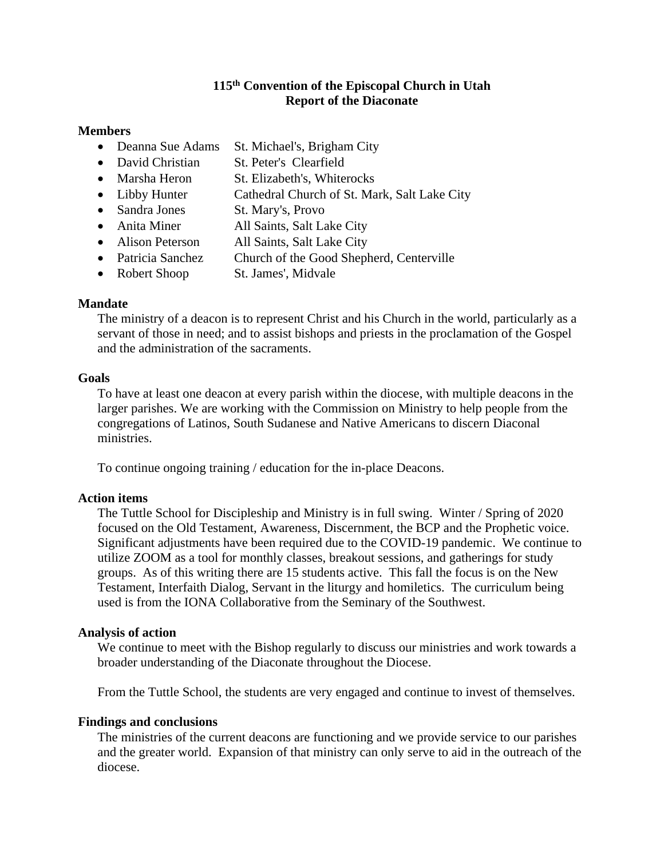## **115 th Convention of the Episcopal Church in Utah Report of the Diaconate**

#### **Members**

- Deanna Sue Adams St. Michael's, Brigham City
- David Christian St. Peter's Clearfield
- Marsha Heron St. Elizabeth's, Whiterocks
- Libby Hunter Cathedral Church of St. Mark, Salt Lake City
- Sandra Jones St. Mary's, Provo
- Anita Miner All Saints, Salt Lake City
- Alison Peterson All Saints, Salt Lake City
- Patricia Sanchez Church of the Good Shepherd, Centerville
- Robert Shoop St. James', Midvale

## **Mandate**

The ministry of a deacon is to represent Christ and his Church in the world, particularly as a servant of those in need; and to assist bishops and priests in the proclamation of the Gospel and the administration of the sacraments.

#### **Goals**

To have at least one deacon at every parish within the diocese, with multiple deacons in the larger parishes. We are working with the Commission on Ministry to help people from the congregations of Latinos, South Sudanese and Native Americans to discern Diaconal ministries.

To continue ongoing training / education for the in-place Deacons.

#### **Action items**

The Tuttle School for Discipleship and Ministry is in full swing. Winter / Spring of 2020 focused on the Old Testament, Awareness, Discernment, the BCP and the Prophetic voice. Significant adjustments have been required due to the COVID-19 pandemic. We continue to utilize ZOOM as a tool for monthly classes, breakout sessions, and gatherings for study groups. As of this writing there are 15 students active. This fall the focus is on the New Testament, Interfaith Dialog, Servant in the liturgy and homiletics. The curriculum being used is from the IONA Collaborative from the Seminary of the Southwest.

#### **Analysis of action**

We continue to meet with the Bishop regularly to discuss our ministries and work towards a broader understanding of the Diaconate throughout the Diocese.

From the Tuttle School, the students are very engaged and continue to invest of themselves.

## **Findings and conclusions**

The ministries of the current deacons are functioning and we provide service to our parishes and the greater world. Expansion of that ministry can only serve to aid in the outreach of the diocese.